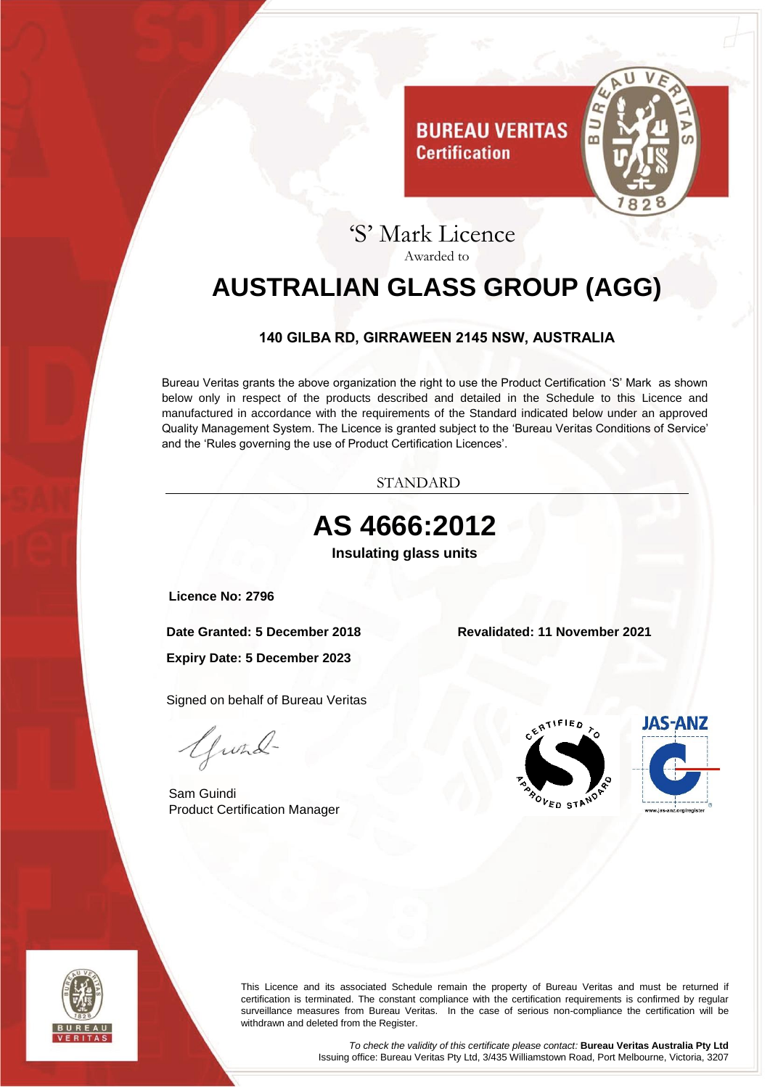

### 'S' Mark Licence Awarded to

**Certification** 

# <span id="page-0-0"></span>**AUSTRALIAN GLASS GROUP (AGG)**

#### **140 GILBA RD, GIRRAWEEN 2145 NSW, AUSTRALIA**

<span id="page-0-1"></span>Bureau Veritas grants the above organization the right to use the Product Certification 'S' Mark as shown below only in respect of the products described and detailed in the Schedule to this Licence and manufactured in accordance with the requirements of the Standard indicated below under an approved Quality Management System. The Licence is granted subject to the 'Bureau Veritas Conditions of Service' and the 'Rules governing the use of Product Certification Licences'.



<span id="page-0-3"></span><span id="page-0-2"></span>



This Licence and its associated Schedule remain the property of Bureau Veritas and must be returned if certification is terminated. The constant compliance with the certification requirements is confirmed by regular surveillance measures from Bureau Veritas. In the case of serious non-compliance the certification will be withdrawn and deleted from the Register.

> *To check the validity of this certificate please contact:* **Bureau Veritas Australia Pty Ltd** Issuing office: Bureau Veritas Pty Ltd, 3/435 Williamstown Road, Port Melbourne, Victoria, 3207